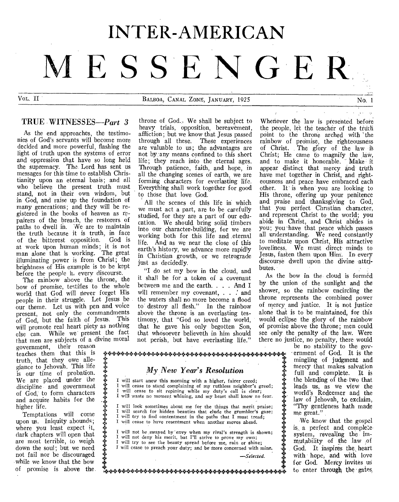# INTER-AMERICAN **MESSEN GER**

VOL. II BALBOA, CANAL ZONE, JANUARY, 1925 No. 1

# TRUE WITNESSES-Part 3

As the end approaches, the testimonies of God's servants will become more decided and more powerful, flashing the light of truth upon the systems of error and oppression that have so long held the supremacy. The. Lord has sent us messages for this time to establish Christianity upon an eternal basis; and all who believe the present truth must stand, not in their own wisdom, but in God, and raise up the foundation of many generations; and they will be registered in the books of heaven as repairers of the breach, the restorers of paths to dwell in. We are to maintain the truth because it is truth, in face of the bitterest opposition. God is at work upon human minds; it is not man alone that is working. The great illuminating power is from Christ; the brightness of His example is to be kept before the people in every discourse.

The rainbow above the throne, the bow of promise, testifies to the whole world that God will never forget His people in their struggle. Let Jesus be our theme. Let us with pen and voice present, not only the commandments of God, but the faith of Jesus. This will promote real heart piety as nothing else can. While we present the fact that men are subjects of a divine moral

+

 $\ddot{\ast}$ 

government, their reason teaches them that this is truth, that they owe allegiance to Jehovah. This life is our time of probation. We are placed under the discipline and government of God, to form characters and acquire habits for the higher life.

Temptations will come upon us. Iniquity abounds; where you least expect it, dark chapters will open that are most terrible, to weigh down the soul; but we need not fail nor be discouraged while we know that the bow of promise is above the.

throne of God., We shall be subject to heavy trials, opposition, bereavement, affliction; but we know that Jesus passed through all these. These experiences are valuable to us; the advantages are not by any means confined to this short life; they reach into the eternal ages. Through patience, faith, and hope, in all the changing scenes of earth, we are forming characters for everlasting life. Everything shall work together for good to those that love God.

All the scenes of this life in which we must act a part, are to be carefully studied, for they are a part of our education. We should bring solid timbers into our character-building, for we are working both for this life and eternal life. And as we near the close of this earth's history, we advance more rapidly in Christian growth, or we retrograde just as decidedly.

"I do set my bow in the cloud, and it shall be for a token of a covenant between me and the earth. . . . And I will remember my covenant, . . .' and the waters shall no more become a flood to' destroy all flesh." In the rainbow above the throne is an everlasting testimony, that "God so loved the world, that he gave his only begotten Son, that whosoever believeth in him should not perish, but have everlasting life."

Whenever the law is presented before the people, let the teacher of the truth point to the throne arched with 'the rainbow of promise, the righteousness of Christ. The glory of the law is Christ; He came to magnify the law, and to make it honorable. ' Make it appear distinct that mercy and truth have met together in Christ, and righteousness and peace have embraced each other. It' is when you are looking to His throne, offering up your penitence and praise and thanksgiving to God, that you perfect Christian character, and represent Christ to the world; you abide in Christ, and Christ abides in you; you-have that peace which passes all understanding. We need constantly to meditate upon Christ, His attractive loveliness. We must direct minds to Jesus, fasten them upon Him. In every discourse dwell upon the divine attributes.

As the bow in the cloud is formed by the union of the sunlight and the shower, so the rainbow encircling the throne represents the combined power of mercy and justice. It is not justice alone that is to be maintained, for this would eclipse the glory of the rainbow of promise above the throne; men could see only the penalty of the law. Were there no justice, no penalty, there would

> be no stability to the government of God. It is the mingling of judgment and mercy that makes salvation full and complete. It is the blending of the two that leads us, as we view the world's Redeemer and the law of Jehovah, to exclaim, "Thy gentleness bath made me great."

> We know that the gospel is, a perfect and complete system, revealing the immutability of the law of God. It inspires the heart with hope, and with love for God. Mercy invites us to enter through the gates

*My New Year's Resolution*  I will start anew this morning with a higher, fairer creed;

I will cease to stand complaining of my ruthless neighbor's greed; I will cease to sit repining while my duty's call is clear; I will waste no moment whining, and my heart shall know no fear. will look sometimes about me for the things that merit praise; **I will start anew this morning with a higher, fairer creed;**<br>will start anew this morning with a higher, fairer creed;<br>will cease to stand complaining of my ruthless neighbor's greed;<br>will vaste to moment whining, and my

I will try to find contentment in the paths that I must tread; I will cease to have resentment when another moves ahead.

I will not be swayed by 'envy when my rival's strength is shown;<br>I will not deny his merit, but I'll strive to prove my own; will not deny his merit, but I'll strive to prove my own; I will try to see the beauty spread before me, rain or shine; I will cease to preach your duty; and be more concerned with mine. *—Selected.* 

I 44-444-4++444-44+44+44-44444-44+++4+4444.44"444+44++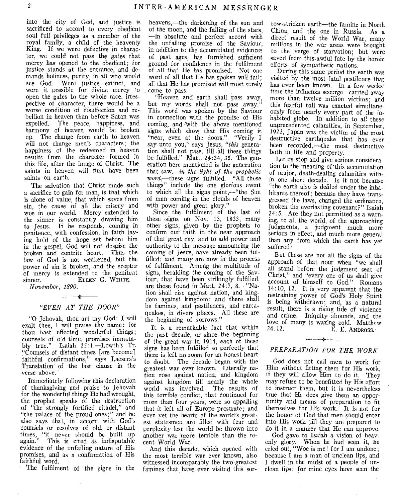into the city of God, and justice is sacrificed to accord to every obedient soul full privileges as a member of the royal family, a child of the heavenly King. If we were defective in character, we could not pass the gates that mercy has opened to the obedient; for justice stands at the entrance, and demands holiness, purity, in all who would see God. Were justice extinct, and were it possible for divine mercy 'o open the gates to the whole race, irrespective of character, there would be a worse condition of disaffection and rebellion in heaven than before Satan was expelled. The peace, happiness, and harmony of heaven would be broken up. The change from earth to heaven will not change men's characters; the happiness of the redeemed in heaven results from the character formed in this life, after the image of Christ. The saints in heaven will first have been saints on earth.

The salvation that Christ made such a sacrifice to gain for man, is that which is alone of value, that which saves from sin, the cause of all the misery and woe in our world. Mercy extended to the sinner is constantly drawing him to Jesus. If he responds, coming in penitence, with confession, in faith laying hold of the hope set before him in the gospel, God will not despise the broken and contrite heart. Thus the law of God is not weakened, but the power of sin is broken, and the scepter of mercy is extended to the penitent sinner. ELLEN G. WHITE. sinner. ELLEN G. WHITE.

*November, 1890.* 

# $\frac{1}{2}$ *"EVEN AT THE DOOR"*

"0 Jehovah, thou art my God: I will exalt thee, I will praise thy name: for thou hast effected wonderful things; counsels of old time, promises immutably true." Isaiah 25:1.—Lowth's Tr. "Counsels of distant times [are become] faithful confirmations," says Laesers's Translation of the last clause in the verse above.

Immediately following this declaration of thanksgiving and praise to Jehovah for the wonderful things He had wrought, the prophet speaks of the destruction of "the strongly fortified citadel," and "the palace of the proud ones;" and he also says that, in accord with God's counsels or resolves of old, or distant times, "it never should be built up again." This is cited as indisputable evidence of the unfailing nature of His promises, and as a confirmation of His faithful word.

The fulfilment of the signs in the

heavens,—the darkening of the sun and of the moon, and the falling of the stars, —in absolute and perfect accord with the unfailing promise of the Saviour, in addition to the accumulated evidences of past ages, has furnished sufficient ground for confidence in the fulfilment of all that He has promised. Not one word of all that He has spoken will fail; all that He has promised will most surely come to pass.

"Heaven and earth shall pass away, but my words shall not pass away.' This word was spoken by the Saviour in connection with the promise of His coming, and With the above mentioned signs which show that His coming is "near, even at the doors." "Verily I say unto you," says Jesus, *"this* generation shall not pass, till all these things be fulfilled." Matt. 24:34, 35. The generation here mentioned is the generation that saw,—in *the light of the prophetic*  word,—these signs fulfilled. "All these things" include the one glorious event to which all the signs point,—"the Son of man coming in the clouds of heaven with power and great glory."

Since the fulfilment of the last of these signs on Nov. 13, 1833, many other signs, given by the prophets to confirm our faith in the near approach of that great day, and to add power and authority to the message announcing the coming of Jesus, have already been fulfilled; and many are now in the process of fulfilment. Among the multitude of signs, heralding the coming of the Saviour, that have been strikingly fulfilled, are those found in Matt. 24:7, 8. "Nation 'shall rise against nation, and kingdom against kingdom: and there shall be famines, and pestilences, and eartnquakes, in divers places. All these are the beginning of sorrows."

It is a remarkable fact that within the past decade, or since the beginning of the great war in 1914, each of these signs has been fulfilled so perfectly that there is left no room for an honest heart to doubt. The decade began with the greatest war ever known. Literally nation rose against nation, and kingdom against kingdom till nearly the whole world was involved. The results of this terrible conflict, that continued for more than four years, were so appalling that it left all of Europe prostrate; and even yet the hearts of the world's greatest statesmen are filled with fear and perplexity lest the world be thrown into another war more terrible than the recent World War.

And this decade, which opened with the most terrible war ever known, also witnessed incomparably the two greatest famines that have ever visited this sorrow-stricken earth—the famine in North China, and the one in Russia. As a direct result of the World War, many millions in the war areas were brought to the verge of starvation; but were saved from this awful fate by the heroic efforts of sympathetic nations.

During this same period the earth was visited by the most fatal pestilence that has ever been known. In a few weeks' time the influenza scourge carried away more than twelve million victims; and this fearful toll was exacted simultaneously from nearly every part of the inhabited globe. In addition to all these unprecedented calamities, in September, 1923, Japan was the victim of the most destructive earthquake that has ever been recorded;—the most destructive both in life and property.

Let us stop and give serious consideration to the meaning of 'this accumulation of major, death-dealing calamities within one short decade. Is it not because "the earth also is defiled under the inhabitants thereof ; because they have transgressed the laws, changed the ordinance, broken the everlasting covenant?" Isaiah 24:5. Are they not permitted as a warning, to all the world, of the approaching judgments, a judgment much more serious in effect, and much more general than any from which the earth has yet suffered?

But these are not all the signs of the approach of that hour when "we shall all stand before the judgment seat of Christ," and "every one of us shall give account of himself to God." Romans 14:10, 12. It is very apparent that the restraining power of God's Holy Spirit is being withdrawn; and, as a natural result, there is a rising tide of violence and crime. Iniquity abounds, and the love of many is waxing cold. Matthew  $24:12$ . E. E. ANDROSS.

# *PREPARATION FOR THE WORK*

 $+$ 

God does not call men to work for Him without fitting them for His work, if they will allow Him to do it. They may refuse to be benefitted by His effort to instruct them, but it is nevertheless true that He does give them an opportunity and means of preparation to fit themselves for His work. It is not for the honor of God that men should enter into His work till they are prepared to do it in a manner that He can approve.

God gave to Isaiah a vision of heavenly glory. When he had seen it, he cried out, "Woe is me! for I am undone; because I am a man of unclean lips, and I dwell in the midst of a people of unclean lips: for mine eyes have seen the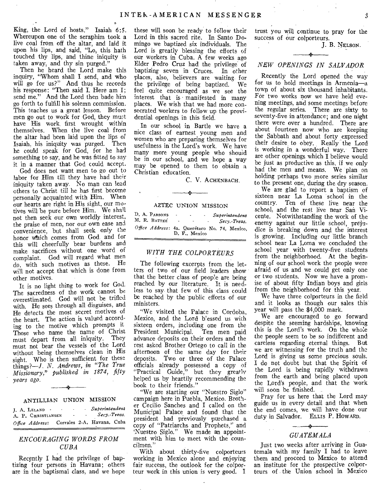King, the Lord of hosts." Isaiah 6:5. Whereupon one of the seraphim took a live coal from off the altar, and laid it upon his lips, and said, "Lo, this hath touched thy lips, and thine iniquity is taken away, and thy sin purged."

Then he heard the Lord make this inquiry, "Whom shall I send, and who will go for us?" And thus he records his response: "Then said I, Here am I; send me." And the Lord then bade him go forth to fulfill his solemn commission. This teaches us a great lesson. Before men go out to work for God, they must have His work first wrought within themselves. When the live coal from the altar had been laid upon the lips of Isaiah, his iniquity was purged. Then he could speak for God, for he had something to say, and he was fitted to say it in a manner that God could accept.

God does not want men to go out to labor for Him till they have had their iniquity taken away. No man can lead others to Christ till he has first become personally acquainted with Him. When our hearts are right in His sight, our motives will be pure before Him. We shall not then seek our own worldly interest, the praise of men, nor our own ease and convenience, but shall seek only the honor Which comes from God and for this will cheerfully bear burdens and make sacrifices without one word of complaint. God will regard what men do, with such motives as these. He will not accept that which is done from other motives.

It is no light thing to work for God. The sacredness of the work cannot be overestimated. God will not be trifled with. He sees through all disguises, and He detects the most secret motives of the heart. The action is valued according to the motive which prompts it Those who name the name of Christ<br>must depart from all iniquity. They must depart from all iniquity. must not bear the vessels of the Lord without being themselves clean in His sight. Who is then sufficient for these things?—./. *N. Andrews, in "The True Missionary,' published in 1874, fifty years ago.* 

# ANTILLIAN UNION MISSION

| I. A. LELAND .     | ٠ | ۰      | Superintendent             |  |
|--------------------|---|--------|----------------------------|--|
| A. P. CHRISTIANSEN |   | $\sim$ | - Secy.-Treas.             |  |
| Office Address:    |   |        | Corrales 2-A, Havana, Cuba |  |

# *ENCOURAGING WORDS FROM CUBA*

Recently I had the privilege of baptizing four persons in Havana; others are in the baptismal class, and we hope these will soon be ready to follow their Lord in this sacred rite. In Santo Domingo we baptized six individuals. The Lord is greatly blessing the efforts of our workers in Cuba. A few weeks ago Elder Pedro Cruz had the privilege of baptizing seven in Cruces. In other places, also, believers are waiting for the privilege of being baptized. We feel quite encouraged as we see the interest that is manifested in many places. We wish that we had more consecrated workers to follow up the providential openings in this field.

In our school in Bartle we have a nice class of earnest young men and women who are preparing themselves for usefulness in the Lord's work. We have many more young people who should be in our school, and we hope a way may be opened to them to obtain a Christian education.

C. V. ACHENBACH.

#### AZTEC UNION MISSION

| D. A. PARSONS                                 | ٠      | ٠<br>$\blacksquare$ |  | Superintendent |
|-----------------------------------------------|--------|---------------------|--|----------------|
| M. R. BATTEE                                  | $\sim$ | ٠                   |  | Secv. Treas.   |
| Office Address: 4a. Querétaro No. 74, Mexico. |        | D. F., Mexico       |  |                |

# *WITH THE COLPORTEURS*

The following excerpts from the letters of two of our field leaders show that the better class of people are being reached by our literature. It is needless to say that few of this class could be reached by the public efforts of our ministers.

"We visited the Palace in Cordoba, Mexico, and the Lord b'essed us with sixteen orders, including one from the President Municipal. Ten men paid advance deposits on their orders and the rest asked Brother Ortego to call in the afternoon of the same day for their deposits. Two or three of the Palace officials already possessed a copy of "Practical Guide," but they greatly helped us by heartily recommending the book to their friends."

"We are starting our "Nuestro Siglo" campaign here in Puebla, Mexico. Brother Cecilio Sanches and I called on the Municipal Palace and found that the president had previously purchased a copy of "Patriarchs and Prophets," and Nuestro Siglo." We made an appointment with him to meet with the councilmen."

With about thirty-five colporteurs working in Mexico alone and enjoying fair success, the outlook for the colporteur work in this union is very good. I

trust you will continue to pray for the success of our colporteurs.

J. B. NELSON.

# *NEW OPENINGS IN SALVADOR*

Recently the Lord opened the way for us to hold meetings in Armenia—a town of about six thousand inhabitants. For two weeks now we have held evening meetings, and some meetings before the regular series. There are sixty to seventy-five in attendance; and one night there were over a hundred. There are about fourteen now who are keeping the Sabbath and about forty expressed their desire to obey. Really the Lord is working in a wonderful way. There are other openings which I believe would be just as productive as this, if we only had the men and means. We plan on holding perhaps two more series similar to the present one, during the dry season.

We are glad to report a baptism of sixteen near La Loma 'school in the country. Ten of these live near the school, and the rest live near San Vicente. Notwithstanding the work of the enemy against our little school, prejudice is breaking down and the interest is growing. Including our little branch school near La Loma we concluded the school year with twenty-five students from the neighborhood. At the beginning of our school work the people were afraid of us and we could get only one or two students. Now we have a promise of about fifty Indian boys and girls from the neighborhood for this year.

We have three colporteurs in the field and it looks as though our sales this year will pass the \$4,000 mark.

We are encouraged to go forward despite the seeming hardships, knowing this is the Lord's work. On the whoie the people seem to be so indifferent and careless regarding eternal things. But we are witnessing for the truth and the Lord is giving us some precious souls. I do not doubt but that the Spirit of the Lord is being rapidly withdrawn from the earth and being placed upon the Lord's people, and that the 'work will soon be finished.

Pray for us here that the Lord may guide us in every detail and that when the end comes, we will have done our duty in Salvador. ELLIs P. HOWARD.

# 4 *GUATEMALA*

Just two weeks after arriving in Guatemala with my family I had to leave them and proceed to Mexico to attend an institute for the prospective colporteurs of the Union school in Mexico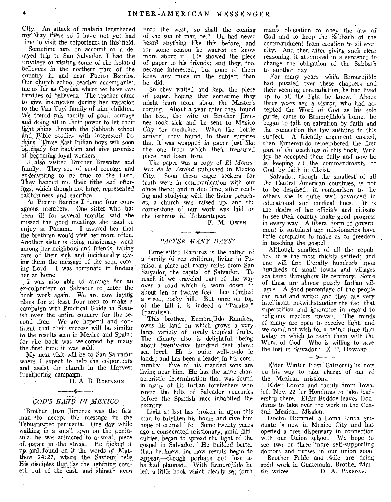City. An attack of malaria lengthened my stay there so I have not yet had time to visit the colporteurs in this field.

Sometime ago, on account of a delayed trip to San Salvador, I had the privilege of visiting some of the isolated believers in the northern part of the country in and near Puerto Barrios. Our church school teacher accompanied me as far as Caytiga where we have two families of believers. The teacher came to •give instruction during her vacation to. the Van Tuyl family of nine children. We found this family of good courage and doing all in their power to let their light shine through the Sabbath school and Bible studies with interested Indians. Three East Indian boys will soon be, ready for baptism and give promise of becoming loyal workers.

I, also visited Brother Brewster and family. They are of good courage and endeavoring to be true to the Lord. They handed me their tithe and offerings, which though not large, represented faithfulness and sacrifice.

At Puerto Barrios I found four courageous members. One sister who has been ill for several months said she missed the good meetings she used to enjoy at Panama. I assured her that the brethren would visit her more often. Another sister is doing missionary work among her neighbors and friends, taking care of their sick and incidentally giving them the message of the soon coming Lord. I was fortunate in finding her at home.

I Was also able to arrange for an ex-colporteur of Salvador to enter the book work again. We are now laying plans for at least four men to make a campaign with Practical Guide in Spanish over the entire country for the second time. We are hopeful and confident that their success will be similar to the results seen in Mexico and Spain; for the book was welcomed by many the ;first time it was sold.

My next visit will be to San Salvador where I expect to help the colporteurs and assist the church in the Harvest Ingatliering campaign.

H. A. B. ROBINSON.

# –\* *GOD'S HAND IN MEXICO*

 $\mathcal{L}_{\rm{in}}$ 

'Brother Juan Jimenez was the first man 'to accept the message in the Tehuantepec peninsula. One day while walking in a small town on the peninsula, he was attracted to a small piece of paper in the street. He picked it up, and, found on it the Words. of Matthew 24:27, where the Saviour tells His disciples that "as the lightning cometh out of the east, and shineth even

unto the west; so shall the coming of the son of man be." He had never heard anything like this before, and for some reason he wanted to know more about it. He showed the piece of paper to his friends; and they, too, became interested; but none of them knew any more on the subject than he did.

So they waited and kept the piece of paper, hoping that sometime they might learn more about the Master's coming. About a year after they found the text, the wife of Brother Jimenez took sick and he sent to Mexico City for medicine. When the bottle arrived, they found, to their surprise that it was wrapped in paper just like the, one from which their treasured piece had been torn.

The paper was a copy of *El Mensajero de la Verdad* published in Mexico City. Soon these eager seekers for truth were in communication with our office there; and in due time, after reading and studying with the living preacher, a church was raised up, and the cornerstone' of our work was laid on the isthmus of Tehuantepec.

F. M. OWEN.

# *"AFTER MANY DAYS"*

Ermerejildo Ramirez is the father of a family of ten children, living in Paraiso, a place not many miles from San Salyador, the capital of Salvador. To reach it we traveled part of the way over a road which is worn down to about ten or *twelve* feet, then climbed a steep, rocky hill. But once on top of the hill it is indeed a "Paraisa," (paradise).

This brother, Ermerejildo Ramirez, owns his land on which grows a very large variety of lovely tropical fruits. The climate also is delightful, being about twenty-five hundred feet above sea level. He is quite well-to-do in lands; and has been a leader in his community. Five of his married sons are living near him. He has the same characteristic determination that was found in many of his Indian forefathers who roved the hills of Salvador centuries before the Spanish race inhabited the country.

Light at last has broken in upon this man to brighten his home and give him hope of eternal life. Some twenty years ago a consecrated missionary, amid difficulties, began to spread the light of the gospel in Salvador. He builded better than he, knew, for now, results begin to appear,—though perhaps not just as he had planned.. With Ermerejildo he left a little book which clearly set forth

man's obligation to obey the law of God and to keep the Sabbath of the commandment from creation to all eternity. And then after giving such clear reasoning, it attempted in a sentence to change the obligation of the Sabbath to another day.

For many years, while Ermerejildo had puzzled over these chapters and their seeming contradiction, he had lived up to all the light he knew. About three years ago a visitor, who had accepted the Word of God as his sole guide, came to Ermerejildo's home; he began to talk on salvation by faith and the connection the law sustains to this subject. A friendly argument ensued, then Ermerejildo remembered the first part of the teachings of this book. With joy he accepted them fully and now he is keeping all the commandments of God by faith in Christ.

Salvador. though the smallest of all the Central American countries, is not to be despised; in comparison to the others she is quite well advanced in educational and medical lines. It is the desire of her officials and citizens to see their country make good progress in every way. A liberal form of government is sustained and missionaries have little complaint to make as to freedom in teaching the gospel.

Although smallest of all the republics, it is the most thickly settled; and one will find literally hundreds upon hundreds of small towns and villages scattered throughout its territory. Some of these are almost purely Indian villages. A good percentage of the people can read and write; and they are very intelligent, notwithstanding the fact that superstition and ignorance in regard to religious matters prevail. The minds of many are open to receive light, and we could not wish for a better time than today in which to reach them with the Word of God. Who is willing to save the lost in Salvador? E. P. HowARD.

Elder Winter from California is now on his way to take charge of one of the Mexican missions.

Elder Lorntz and family from Iowa, left Nov. 22 for Honduras to take leadership there. Elder Beddoe leaves Honduras to take over the work in the Central Mexican Mission.

Doctor Hummel, a Loma Linda graduate is now in Mexico City and has opened a free dispensary in connection with our Union school. We hope to see two or three more self-supporting doctors and nurses in our union soon.

Brother Pohle and wife are doing good work in Guatemala, Brother Mar-D. A. PARSONS.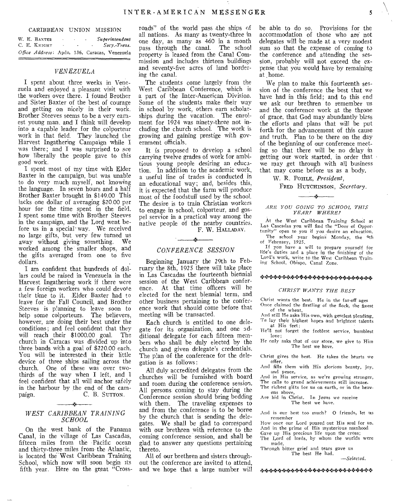#### CARIBBEAN UNION MISSION

W. E. BAXTER - Superintendent C. E. KNIGHT - - Secy.-Treas. C. E. KNIGHT - -*Office Address:* Apdo. 136, Caracas, Venezuela

## *VENEZUELA*

I spent about three weeks in Venezuela and enjoyed a pleasant visit with the workers over there. I found Brother and Sister Baxter of the best of courage and getting on nicely in their work. Brother Steeves seems to be a very earnest young man, and I think will develop into a capable leader for the colporteur work in that field. They launched the Harvest Ingathering Campaign while I was there; and I was surprised to see how liberally the people gave to this good work.

I spent most of my time with Elder Baxter in the campaign, but was unable to do very much myself, not knowing the language. In seven hours and a half Brother Baxter brought in \$149.00 This lacks one dollar of averaging \$20.00 per hour for the time spent in the field. I spent some time with Brother Steeves in the campaign, and the Lord went before us in a special' way. We received no large gifts, but very few turned us away without giving something. We worked among the smaller shops, and the gifts averaged from one to five dollars.

I am confident that hundreds of dollars could be raised in Venezuela in the Harvest Ingathering work if there were a few foreign workers who could devote their time to it. Elder Baxter had to leave for the Fall Council, and Brother Steeves is planning to leave soon to help some colporteurs. The believers, however, are doing their best under the conditions; and feel confident that they<br>will reach their \$1000.00 goal. The will reach their \$1000.00 goal. church in Caracas was divided up into three bands with a goal of \$220.00 each. You will be interested in their little device of three ships sailing across the church. One of these was over twothirds of the way when I left, and I feel confident that all will anchor safely in the harbour by the end of the cam-<br>paign. C. B. SUTTON. C. B. SUTTON.

# *WEST CARIBBEAN TRAINING SCHOOL*

On the west bank of the Panama Canal, in the village of Las Cascadas, fifteen miles from the Pacific ocean and thirty-three miles from the Atlantic, is located the West Caribbean Training School, which now will soon begin its fifth year. Here on the great "Cross-

roads" of the world pass .the ships of all nations. As many as twenty-three in one day, as many as 460 in a month pass through the canal. The school property is leased from the Canal Commission and includes thirteen buildings and seventy-five acres of land bordering the canal.

The students come largely from the West Caribbean Conference, which is a part of the Inter-American Division. Some of the students make their way in school by work, others earn scholarships during the vacation. The enrolment for 1924 was ninety-three not including the church school. The work is growing and gaining prestige with government officials.

It is proposed to develop a school carrying twelve grades of work for ambitious young people desiring an education. In addition to the academic work, a useful line of trades is conducted in an educational way; and, besides this, it is expected that the farm will produce most of the foodstuff used by the school. The desire is to train Christian workers to engage in school, colporteur, and gospel service in a practical way among the native people of the nearby countries. F. W. HALLADAY.

# *CONFERENCE SESSION*

Beginning January the 29th to February the 8th, 1925 there will take place in Las Cascadas the fourteenth biennial session of the West Caribbean confer-<br>ence. At that time officers will be At that time officers will be elected for the next biennial term, and other business pertaining to the conference work that should come before that meeting will be transacted.

Each church is entitled to one delegate for its organization, and one additional delegate for each fifteen members who shall be duly elected by the church and given delegate's credentials. The plan of the conference for the delegation is as follows:

All duly accredited delegates from the churches will be furnished with board and room during the conference session. All persons coming to stay during the Conference session should bring bedding with them. The traveling expenses to and from the conference is to be borne by the church that is sending the delegates. We shall be glad to correspond with our brethren with reference to the coming conference session, and shall be glad to answer any questions pertaining thereto.

All of our brethren and sisters throughout the conference are invited to attend, and we hope that a large number will be able to do so. Provisions for the accommodation of those who are not delegates will be made at a very modest sum so that the expense of coming to the conference and attending the session, probably will not exceed the expense that you would have by remaining at home.

We plan to make this fourteenth session of the conference the best that we have had in this field; and to this end we ask our brethren to remember us and the conference work at the throne of grace, that God may abundantly bless the efforts and plans that will be put forth for the advancement of this cause and truth. Plan to be there on the day of the beginning of our conference meeting so that there will be no delay in getting our work started, in order that we may get through with all business that may come before us as a body.

W. R. POHLE, *President,* 

FRED HUTCHINSON, *Secretary.* 

# يغر *ARE YOU GOING TO SCHOOL THIS YEAR? WHERE?*

At the West Caribbean Training School at Las Cascadas you will find the "Door of Opportunity" *open* to you if you desire an education. The school year begins Monday, the 9th

of February, 1925. If you have a will to prepare yourself for life's duties and a place in the finishing of the Lord's work, write to the West Caribbean Training School, Obispo, Canal Zone.

# +++.:++.+44+++++4 1? +++++++++

#### *CHRIST WANTS THE BEST*

Christ wants the best. He in the far-off ages

- Once claimed the firstling of the flock, the finest of the wheat,
- And still He asks His own, with gentlest pleading, To lay their highest hopes and brightest talents at His feet:
- He'll not forget the feeblest service, humblest love;
- He only asks that of our store, we give to Him The best we have.

Christ gives the best. He takes the hearts we offer,

And fills them with His glorious beauty, joy, and peace,

And in His service, as we're growing stronger,

- The calls to grand achievements still increase.
- The richest gifts for us on earth, or in the heavens above,

Are hid in Christ. In Jesus we receive The best we have.

And is our best too much? 0 friends, let us remember

How once our Lord poured out His soul for us. And in the prime of His mysterious manhood Gave up His precious life upon the cross;

The Lord of lords, by whom the worlds were made,

'Through bitter grief and tears gave us The best He had.

*—Selected.*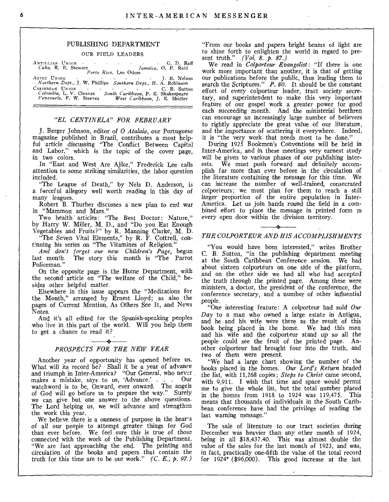# PUBLISHING DEPARTMENT

## OUR FIELD LEADERS

A NTILLIAN UN ION - - - - - - - G. D. Raff *Cuba,* R. E. Stewart *Jamaica,* 0. P. Reid *P Porto Rico, Porto Rico, Porto Rico, Leo Odom* ANTILLIAN UNION GER PERSON LEADS 1998 CORPORTING THE CALL OF A RAFTEC UNION Porto Rico, Leo Odom Maradica, O. P. Reid Northern Dept., J. W. Phillips *Southern Dept.,* H. A. Robinson

CARIBBEAN UNION - - - - - - C. B. Sutton *Colombia,* L. V. Cleaves *South Caribbean,* P. E. Shakespeare *Venezuela, F.* W. Steeves *West Caribbean, J.* E. Shidler

# *"EL CENTINELA" FOR FEBRUARY*

J. Berger Johnson, editor of *0 Atalaia,* our Portuguese magazine published in Brazil, contributes a most helpful article discussing "The Conflict Between Capital and Labor," which is the topic of the cover page, in two colors.

In "East and West Are Alike," Frederick Lee calls attention to some striking similarities, the labor question included.

"The League of Death," by Nels D. Anderson, is a forceful allegory well worth reading in this day of many leagues.

Robert B. Thurber discusses a new plan to end war in "Mammon and Mars."

Two health' articles: "The Best Doctor: Nature," by Harry W. Miller, M. D., and "Do you Eat Enough

Vegetables and Fruits?" by R. Manning Clarke, M. D\_ "The Seven Vital Elements," by R. F. Cottrell, continuing his series on "The Vitamines of Religion."

*And don't forget our new Children's Page,* begun last month. The story this month is "The Parrot Policeman."

On the opposite page is the Home Department, with the second article on "The welfare of the Child," besides other helpful matter.

Elsewhere in this issue appears the "Meditations for the Month," arranged by Ernest Lloyd; as also the pages of Current Mention, As Others See It, and News Notes.

And it's all edited for the Spanish-speaking peoples who live in this part of the world. Will you help them to get a chance to read it?

# *PROSPECTS FOR THE NEW YEAR*

Another year of opportunity has opened before us. What will its record be? Shall it be a year of advance and triumph in Inter-America? "Our General, who never makes a mistake, says to us, 'Advance.'  $\ldots$ watchword is to be, Onward, ever onward. The angels of God will go before us to prepare the way." Surely we can give but one answer to the above questions. The Lord helping us, we will advance and strengthen the work this year.

We believe there is a oneness of purpose in the hears of all our people to attempt greater things for God than ever before. We feel sure this is true of those connected with the work of the Publishing Department. "We are fast approaching the end. The printing and circulation of the books and papers that contain the truth for this time are to be our work." *(C. E., p. 97.)* 

"From our books and papers bright beams of light are to shine forth to enlighten the world in regard to present truth." *(Vol. 8. p. 87.)* 

We read in *Colporteur Evangelist:* "If there is one work more important than another, it is that of getting our publications before the public, thus leading them to search the Scriptures." *P. 80*. It should be the constant effort of every colporteur leader, tract society secretary, and superintendent to make this very important feature of our gospel work a greater power for good each succeeding month. And the ministerial brethren can encourage an increasingly large number of believers to rightly appreciate the great value of our literature, and the importance of scattering it everywhere. Indeed, it is "the very work that needs most to be done."

During 1925 Bookmen's Conventions will be held in Inter-America, and in these meetings very earnest study will be given to various phases of our publishing interests. We must push forward and definitely accomplish far more than ever before in the circulation of the literature containing the message for this time. We can increase the number of well-trained, consecrated colporteurs; we must plan for them to reach a still larger proportion of the entire population in Inter-America. Let us join hands round- the field in a combined effort to place the message in printed form in every open door within the division territory.

# *THE COLPORTEUR AND HIS ACCOMPLISHMENTS*

"You would have been interested," writes Brother C. B. Sutton, "in the publishing department meeting at the South Caribbean Conference session. We had about sixteen colporteurs on one side of the platform, and on the other side we had all who had accepted the truth through the printed page. Among these were ministers, a doctor, the president of the conference, the conference secretary, and a number of other influential people.

"One interesting feature: A colporteur had sold *Our Day* to a man who owned a large estate in Antigua, and he and his wife were there as the result of this book being placed in the home. We had this man and his wife and the colporteur stand up so *all* the people could see the fruit of the printed page. Another colporteur had brought four into the truth, and two of them were present.

"We had a large chart showing the number of the books placed in the homes. *Our Lord's Return* headed the list, with 11,268 copies; *Steps to Christ* came second, with 9,911. I wish that time and space would permit me to give the whole list, but the total number placed in the homes from 1918 to 1924 was 119,475. This means that thousands of *individuals* in the South Caribbean conference have had the privilege of reading the last warning message."

The sale of literature to our tract societies during December was heavier than any other month of 1924, being in all \$18,437.40. This was almost double the value of the sales for the last month of 1923, and was, in fact, practically one-fifth the value of the total record for 1924• (\$96,000). This good increase at the last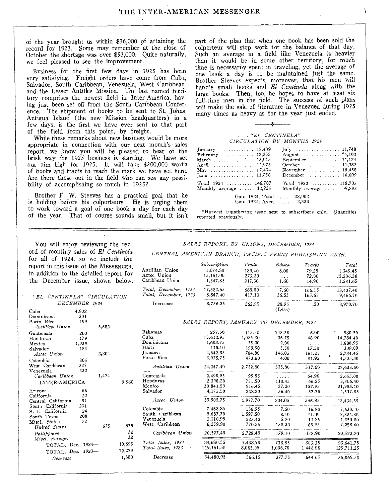of the year brought us within \$36,000 of attaining the record for 1923. Some may remember at the close of October the shortage was over \$53,000. Quite naturally, we feel pleased to see the improvement.

Business for the first few days in 1925 has been very satisfying. Freight orders have come from Cuba, Salvador, South Caribbean, Venezuela, West Caribbean, and the Lesser Antilles Mission. The last named territory comprises the newest field in Inter-America, having just been set off from the South Caribbean Conference. The shipment of books to be sent to St. Johns, Antigua Island (the new Mission headquarters) in a few days, is the first we have ever sent to that part of the field from this point, by freight.

While these remarks about new business would be more appropriate in connection with our next month's sales report, we know you will be pleased to hear of the brisk way the 1925 business is starting. We have set our aim high for 1925. It will take \$200,000 worth of books and tracts to reach the mark we have set here. Are there those out in the field who can see any possibility of accomplishing so much in 1925?

Brother F. W. Steeves has a practical goal that he is holding before his colporteurs. He is urging them to work toward a goal of one book a day for each day of the year. That of course sounds small, but it isn't

part of the plan that when one book has been sold the colporteur will stop work for the balance of that day. Such an average in a field like Venezuela is heavier than it would be in some other territory, for much time is necessarily spent in traveling, yet the average of one book a day is to be maintained just the same. Brother Steeves expects, moreover, that his men will handle small books and *El Centinela* along with the large. books. Then, too, he hopes to have at least six full-time men in the field. The success of such plans will make the sale of literature in Venezuea during 1925 many times as heavy as for the year just ended.

#### *"EL CENTINELA" CIRCULATION BY MONTHS 1924*

| January $18,409$                                                                                                         | $\text{July}$ 11,748                                                                                         |
|--------------------------------------------------------------------------------------------------------------------------|--------------------------------------------------------------------------------------------------------------|
| February $\ldots \ldots \ldots 12,355$                                                                                   | August  *4,102                                                                                               |
| March 13,015                                                                                                             | September 11,174                                                                                             |
| April  12,973                                                                                                            | October $11,282$                                                                                             |
| May  17,434                                                                                                              | November $\dots\dots\dots\dots$ 10,458                                                                       |
| June  13,058<br>Total $1924$ 146.707<br>Monthly average $\dots$ 12,225<br>Gain $1924$ , Total<br>Gain 1924, Aver.  2,333 | December $\ldots \ldots \ldots 10,699$<br>Total $1923$ 118,705<br>Monthly average $\ldots$ , 9,892<br>28,002 |

\*Harvest Ingathering issue sent to subscribers only. Quantities reported previously.

You will enjoy reviewing the record of monthly sales of El *Centinela*  for all of  $1924$ , so we in report in this issue of the  $M$ in addition to the detailed the December issue, show

Cuba 4,932<br>Dominicana 301 Dominicana 301

INTER-AMERICA Arizona 66<br>California 23 California 23 Central California 51 South California 231 S. E. California 24 South Texas 208<br>Miscl States 22

Porto Rico *Antillian Union*  Guatemala 203<br>Honduras 179 Honduras 179<br>Mexico 1,939 Mexico 1,939<br>Salvador 483

Salvador *Aztec Union*  Colombia 805<br>West Caribbean 337 West Caribbean 337<br>Venezuela 332

Venezuela *Caribbean Union* 

Miscl. States *United States*  $Philippines$ *Miscl.* Foreign

|  |  |  |  | SALES REPORT, BY UNIONS, DECEMBER, 1924 |  |
|--|--|--|--|-----------------------------------------|--|
|--|--|--|--|-----------------------------------------|--|

*CENTRAL AMERICAN BRANCH, PACIFIC PRESS PUBLISHING ASSN.* 

| or all of 1924, so we include the     |               |                 |             |                       |                                         |                      |          |                                |            |
|---------------------------------------|---------------|-----------------|-------------|-----------------------|-----------------------------------------|----------------------|----------|--------------------------------|------------|
|                                       |               |                 |             |                       | Subscription                            | Trade                | Educa.   | Tracts                         | Total      |
| eport in this issue of the MESSENGER. |               | Antillian Union | 1,074.80    | 189.40                | 6.00                                    | 79.25                | 1.349.45 |                                |            |
| addition to the detailed report for   |               |                 | Aztec Union | 15,161.00             | 273.30                                  | $\sim$ $\sim$ $\sim$ | 72.00    | 15,506.30                      |            |
| he December issue, shown below.       |               |                 |             | Caribbean Union       | 1,347.85                                | 217.30               | 1.60     | 14,90                          | 1,581.65   |
|                                       |               |                 |             |                       |                                         |                      |          |                                |            |
|                                       |               |                 |             | Total, December, 1924 | 17,583.65                               | 680.00               | 7.60     | 166.15<br>$\sim$               | 18,437.40  |
| "EL CENTINELA" CIRCULATION            |               |                 |             | Total, December, 1923 | 8,847,40                                | 417.10               | 36.55    | 165.65                         | 9,466.70   |
|                                       | DECEMBER 1924 |                 |             | <b>Increases</b>      | 8,736.25                                | 262.90               | 28.95    | .50                            | 8,970.70   |
| uba                                   | 4,932         |                 |             |                       |                                         |                      | (Less)   |                                |            |
| ominicana                             | 301           |                 |             |                       |                                         |                      |          |                                |            |
| orto Rico                             | 499           |                 |             |                       | SALES REPORT, JANUARY TO DECEMBER, 1924 |                      |          |                                |            |
| Antillian Union                       |               | 5,682           |             |                       |                                         |                      |          |                                |            |
| uatemala                              | 203           |                 |             | Bahamas               | 297.50                                  | 113.50               | 143.50   | 6.00                           | 560.50     |
| londuras                              | 179           |                 |             | Cuba                  | 13,612.95                               | 1,085.80             | 36.75    | 48.90                          | 14,784.40  |
| Iexico                                | 1.939         |                 |             | Dominicana            | 1,603.75                                | 75.20                | 2.00     | $\alpha$ , $\alpha$ , $\alpha$ | 1,680.95   |
| alvador                               | 483           |                 |             | Haiti                 | 115.10                                  | 199.90               | 5.50     | 17.50                          | 338.00     |
| Aztec Union                           |               | 2,804           |             | <b>Tamaica</b>        | 4,642.35                                | 784.80               | 146.05   | 161.25                         | 5,734.45   |
| `olombia                              | 805           |                 |             | Porto Rico            | 3,975.75                                | 473.60               | 4.00     | 81.95                          | 4,535.30   |
| lest Caribbean                        | 337           |                 |             |                       |                                         |                      |          |                                |            |
| 'enezuela                             | 332           |                 |             | Antillian Union       | 24,247.40                               | 2,732.80             | 335.80   | 317.60                         | 27,633.60  |
| Caribbean Union                       |               | 1,474           |             | Guatemala             | 2,490.55                                | 99.55                | .        | 64.90                          | 2,655.00   |
| INTER-AMERICA                         |               |                 | 9,960       | Honduras              | 2,398.20                                | 731.50               | 110.45   | 66.25                          | 3,306.40   |
|                                       |               |                 |             | Mexico                | 30,841.50                               | 916.45               | 37.20    | 157.95                         | 31,955.10  |
| rizona                                | 66            |                 |             | Salvador              | 4,175.50                                | 228,20               | 56.40    | 57.75                          | 4,517.85   |
| `alifornia                            | 23            |                 |             |                       |                                         |                      |          |                                |            |
| entral California                     | 51            |                 |             | Aztec Union           | 39,905.75                               | 1,977.70             | 204.05   | 346.85                         | 42,434.35  |
| outh California                       | 231           |                 |             | Colombia              | 7,468.85                                | 136.95               | 7.50     | 16.80                          | 7.630.10   |
| . E. California                       | 24            |                 |             | South Caribbean       | 5,687.70                                | 1,597.50             | 8.10     | 41.00                          | 7,334.30   |
| outh Texas                            | 208           |                 |             | Venezuela             | 1,110,95                                | 223.40               | 5.20     | 11.25                          | 1,350.80   |
| Iisel. States                         | 72            | 675             | 675         | West Caribbean        | 6,259.90                                | 770.55               | 158.30   | 69.85                          | 7,258.60   |
| United States                         |               |                 |             |                       |                                         |                      |          |                                |            |
| Philippines<br>Miscl. Foreign         |               |                 | 32<br>32    | Caribbean Union       | 20,527.40                               | 2,728.40             | 179.10   | 138.90                         | 23,573.80  |
| TOTAL, Dec. 1924-                     |               |                 | 10,699      | Total Sales, 1924     | 84,680.55                               | 7,438.90             | 718.95   | 803.35                         | 93,641.75  |
|                                       |               |                 | 12,079      | Total Sales, 1923     | 119,161.50                              | 8,005.05             | 1,096,70 | 1,448.00                       | 129,711.25 |
| TOTAL, Dec. 1923-                     |               |                 | 1,380       | Decrease              | 34,480,95                               | 566.15               | 377.75   | 644.65                         | 36,069.50  |
| Decrease                              |               |                 |             |                       |                                         |                      |          |                                |            |